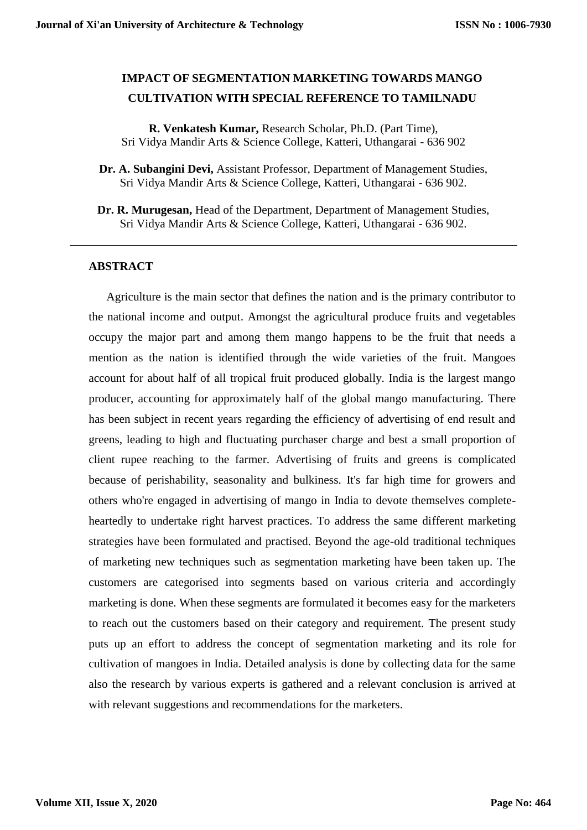# **IMPACT OF SEGMENTATION MARKETING TOWARDS MANGO CULTIVATION WITH SPECIAL REFERENCE TO TAMILNADU**

**R. Venkatesh Kumar,** Research Scholar, Ph.D. (Part Time), Sri Vidya Mandir Arts & Science College, Katteri, Uthangarai - 636 902

- **Dr. A. Subangini Devi,** Assistant Professor, Department of Management Studies, Sri Vidya Mandir Arts & Science College, Katteri, Uthangarai - 636 902.
- **Dr. R. Murugesan,** Head of the Department, Department of Management Studies, Sri Vidya Mandir Arts & Science College, Katteri, Uthangarai - 636 902.

## **ABSTRACT**

Agriculture is the main sector that defines the nation and is the primary contributor to the national income and output. Amongst the agricultural produce fruits and vegetables occupy the major part and among them mango happens to be the fruit that needs a mention as the nation is identified through the wide varieties of the fruit. Mangoes account for about half of all tropical fruit produced globally. India is the largest mango producer, accounting for approximately half of the global mango manufacturing. There has been subject in recent years regarding the efficiency of advertising of end result and greens, leading to high and fluctuating purchaser charge and best a small proportion of client rupee reaching to the farmer. Advertising of fruits and greens is complicated because of perishability, seasonality and bulkiness. It's far high time for growers and others who're engaged in advertising of mango in India to devote themselves completeheartedly to undertake right harvest practices. To address the same different marketing strategies have been formulated and practised. Beyond the age-old traditional techniques of marketing new techniques such as segmentation marketing have been taken up. The customers are categorised into segments based on various criteria and accordingly marketing is done. When these segments are formulated it becomes easy for the marketers to reach out the customers based on their category and requirement. The present study puts up an effort to address the concept of segmentation marketing and its role for cultivation of mangoes in India. Detailed analysis is done by collecting data for the same also the research by various experts is gathered and a relevant conclusion is arrived at with relevant suggestions and recommendations for the marketers.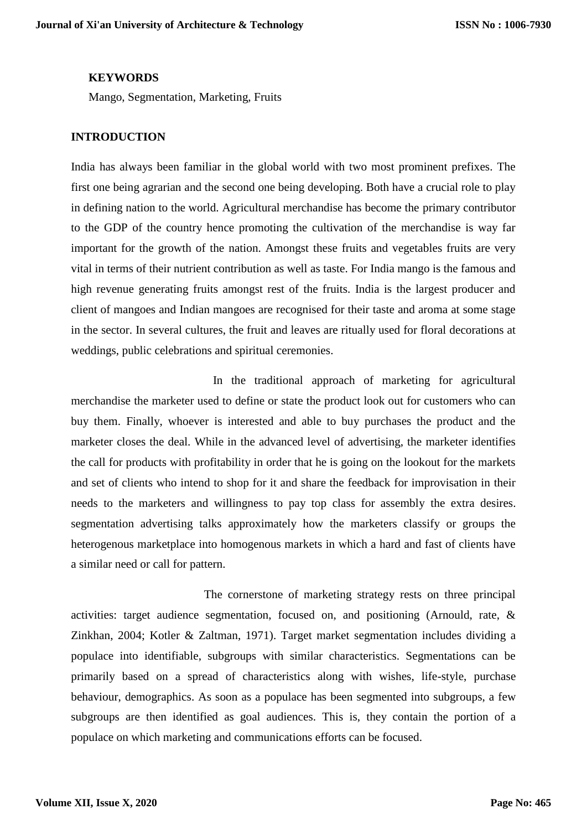## **KEYWORDS**

Mango, Segmentation, Marketing, Fruits

## **INTRODUCTION**

India has always been familiar in the global world with two most prominent prefixes. The first one being agrarian and the second one being developing. Both have a crucial role to play in defining nation to the world. Agricultural merchandise has become the primary contributor to the GDP of the country hence promoting the cultivation of the merchandise is way far important for the growth of the nation. Amongst these fruits and vegetables fruits are very vital in terms of their nutrient contribution as well as taste. For India mango is the famous and high revenue generating fruits amongst rest of the fruits. India is the largest producer and client of mangoes and Indian mangoes are recognised for their taste and aroma at some stage in the sector. In several cultures, the fruit and leaves are ritually used for floral decorations at weddings, public celebrations and spiritual ceremonies.

 In the traditional approach of marketing for agricultural merchandise the marketer used to define or state the product look out for customers who can buy them. Finally, whoever is interested and able to buy purchases the product and the marketer closes the deal. While in the advanced level of advertising, the marketer identifies the call for products with profitability in order that he is going on the lookout for the markets and set of clients who intend to shop for it and share the feedback for improvisation in their needs to the marketers and willingness to pay top class for assembly the extra desires. segmentation advertising talks approximately how the marketers classify or groups the heterogenous marketplace into homogenous markets in which a hard and fast of clients have a similar need or call for pattern.

 The cornerstone of marketing strategy rests on three principal activities: target audience segmentation, focused on, and positioning (Arnould, rate, & Zinkhan, 2004; Kotler & Zaltman, 1971). Target market segmentation includes dividing a populace into identifiable, subgroups with similar characteristics. Segmentations can be primarily based on a spread of characteristics along with wishes, life-style, purchase behaviour, demographics. As soon as a populace has been segmented into subgroups, a few subgroups are then identified as goal audiences. This is, they contain the portion of a populace on which marketing and communications efforts can be focused.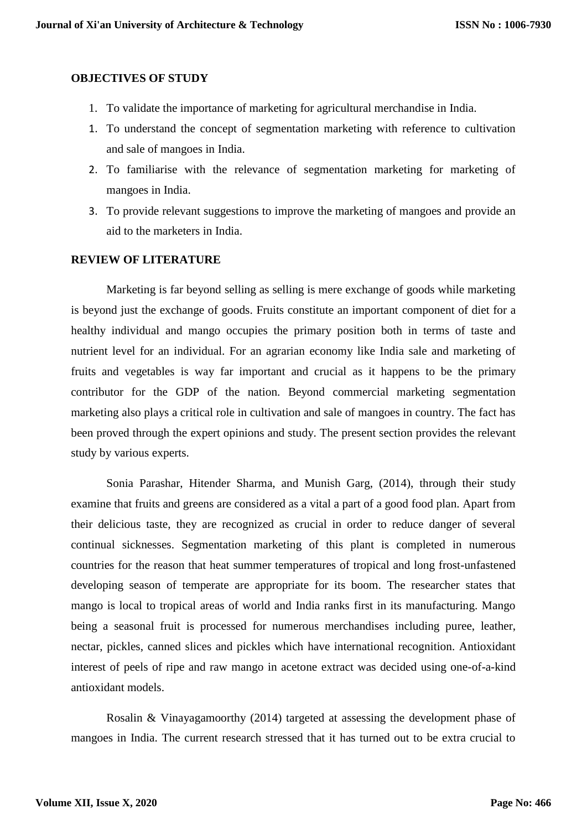## **OBJECTIVES OF STUDY**

- 1. To validate the importance of marketing for agricultural merchandise in India.
- 1. To understand the concept of segmentation marketing with reference to cultivation and sale of mangoes in India.
- 2. To familiarise with the relevance of segmentation marketing for marketing of mangoes in India.
- 3. To provide relevant suggestions to improve the marketing of mangoes and provide an aid to the marketers in India.

#### **REVIEW OF LITERATURE**

Marketing is far beyond selling as selling is mere exchange of goods while marketing is beyond just the exchange of goods. Fruits constitute an important component of diet for a healthy individual and mango occupies the primary position both in terms of taste and nutrient level for an individual. For an agrarian economy like India sale and marketing of fruits and vegetables is way far important and crucial as it happens to be the primary contributor for the GDP of the nation. Beyond commercial marketing segmentation marketing also plays a critical role in cultivation and sale of mangoes in country. The fact has been proved through the expert opinions and study. The present section provides the relevant study by various experts.

Sonia Parashar, Hitender Sharma, and Munish Garg, (2014), through their study examine that fruits and greens are considered as a vital a part of a good food plan. Apart from their delicious taste, they are recognized as crucial in order to reduce danger of several continual sicknesses. Segmentation marketing of this plant is completed in numerous countries for the reason that heat summer temperatures of tropical and long frost-unfastened developing season of temperate are appropriate for its boom. The researcher states that mango is local to tropical areas of world and India ranks first in its manufacturing. Mango being a seasonal fruit is processed for numerous merchandises including puree, leather, nectar, pickles, canned slices and pickles which have international recognition. Antioxidant interest of peels of ripe and raw mango in acetone extract was decided using one-of-a-kind antioxidant models.

Rosalin & Vinayagamoorthy (2014) targeted at assessing the development phase of mangoes in India. The current research stressed that it has turned out to be extra crucial to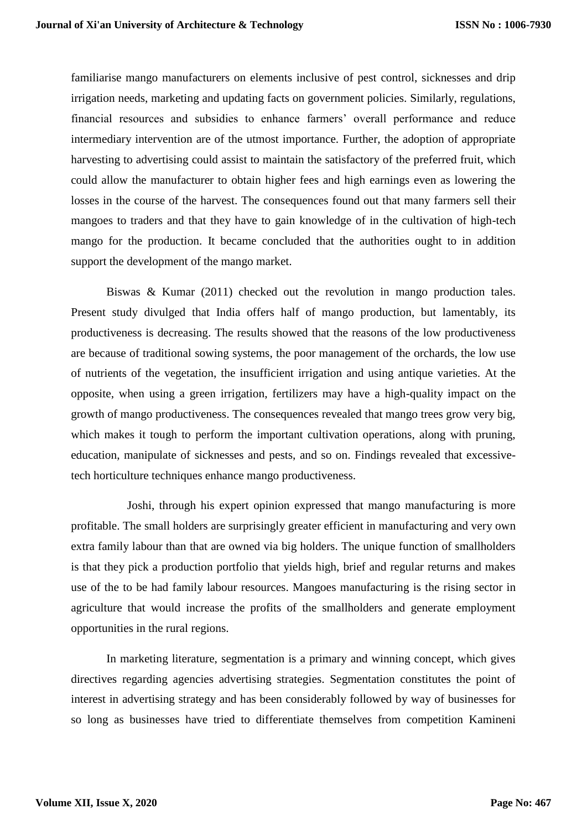familiarise mango manufacturers on elements inclusive of pest control, sicknesses and drip irrigation needs, marketing and updating facts on government policies. Similarly, regulations, financial resources and subsidies to enhance farmers' overall performance and reduce intermediary intervention are of the utmost importance. Further, the adoption of appropriate harvesting to advertising could assist to maintain the satisfactory of the preferred fruit, which could allow the manufacturer to obtain higher fees and high earnings even as lowering the losses in the course of the harvest. The consequences found out that many farmers sell their mangoes to traders and that they have to gain knowledge of in the cultivation of high-tech mango for the production. It became concluded that the authorities ought to in addition support the development of the mango market.

Biswas & Kumar (2011) checked out the revolution in mango production tales. Present study divulged that India offers half of mango production, but lamentably, its productiveness is decreasing. The results showed that the reasons of the low productiveness are because of traditional sowing systems, the poor management of the orchards, the low use of nutrients of the vegetation, the insufficient irrigation and using antique varieties. At the opposite, when using a green irrigation, fertilizers may have a high-quality impact on the growth of mango productiveness. The consequences revealed that mango trees grow very big, which makes it tough to perform the important cultivation operations, along with pruning, education, manipulate of sicknesses and pests, and so on. Findings revealed that excessivetech horticulture techniques enhance mango productiveness.

 Joshi, through his expert opinion expressed that mango manufacturing is more profitable. The small holders are surprisingly greater efficient in manufacturing and very own extra family labour than that are owned via big holders. The unique function of smallholders is that they pick a production portfolio that yields high, brief and regular returns and makes use of the to be had family labour resources. Mangoes manufacturing is the rising sector in agriculture that would increase the profits of the smallholders and generate employment opportunities in the rural regions.

In marketing literature, segmentation is a primary and winning concept, which gives directives regarding agencies advertising strategies. Segmentation constitutes the point of interest in advertising strategy and has been considerably followed by way of businesses for so long as businesses have tried to differentiate themselves from competition Kamineni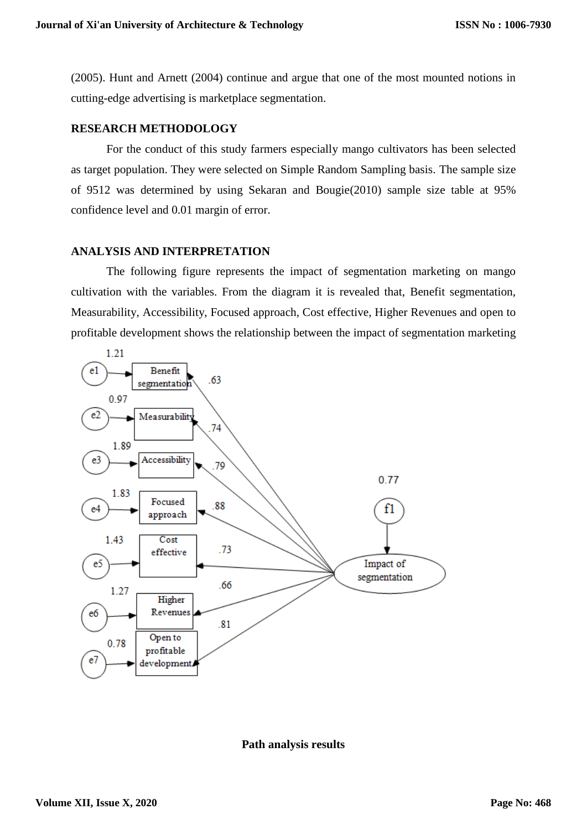(2005). Hunt and Arnett (2004) continue and argue that one of the most mounted notions in cutting-edge advertising is marketplace segmentation.

## **RESEARCH METHODOLOGY**

For the conduct of this study farmers especially mango cultivators has been selected as target population. They were selected on Simple Random Sampling basis. The sample size of 9512 was determined by using Sekaran and Bougie(2010) sample size table at 95% confidence level and 0.01 margin of error.

## **ANALYSIS AND INTERPRETATION**

The following figure represents the impact of segmentation marketing on mango cultivation with the variables. From the diagram it is revealed that, Benefit segmentation, Measurability, Accessibility, Focused approach, Cost effective, Higher Revenues and open to profitable development shows the relationship between the impact of segmentation marketing



**Path analysis results**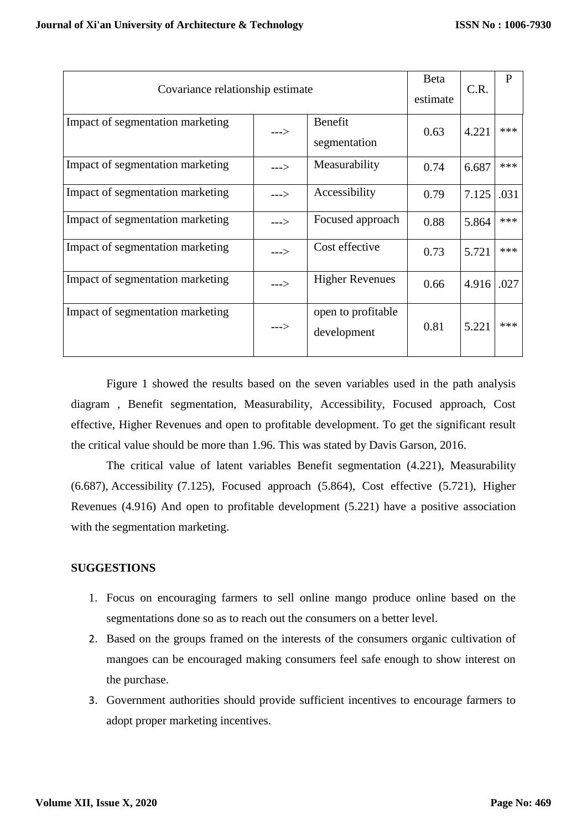| Covariance relationship estimate |         |                                   | Beta<br>estimate | C.R.  | P    |
|----------------------------------|---------|-----------------------------------|------------------|-------|------|
| Impact of segmentation marketing | $---$ > | Benefit<br>segmentation           | 0.63             | 4.221 | ***  |
| Impact of segmentation marketing | --->    | Measurability                     | 0.74             | 6.687 | ***  |
| Impact of segmentation marketing | --->    | Accessibility                     | 0.79             | 7.125 | .031 |
| Impact of segmentation marketing | $---$ > | Focused approach                  | 0.88             | 5.864 | ***  |
| Impact of segmentation marketing | $---$ > | Cost effective                    | 0.73             | 5.721 | ***  |
| Impact of segmentation marketing | --->    | <b>Higher Revenues</b>            | 0.66             | 4.916 | .027 |
| Impact of segmentation marketing | $--->$  | open to profitable<br>development | 0.81             | 5.221 | ***  |

Figure 1 showed the results based on the seven variables used in the path analysis diagram , Benefit segmentation, Measurability, Accessibility, Focused approach, Cost effective, Higher Revenues and open to profitable development. To get the significant result the critical value should be more than 1.96. This was stated by Davis Garson, 2016.

The critical value of latent variables Benefit segmentation (4.221), Measurability (6.687), Accessibility (7.125), Focused approach (5.864), Cost effective (5.721), Higher Revenues (4.916) And open to profitable development (5.221) have a positive association with the segmentation marketing.

# **SUGGESTIONS**

- 1. Focus on encouraging farmers to sell online mango produce online based on the segmentations done so as to reach out the consumers on a better level.
- 2. Based on the groups framed on the interests of the consumers organic cultivation of mangoes can be encouraged making consumers feel safe enough to show interest on the purchase.
- 3. Government authorities should provide sufficient incentives to encourage farmers to adopt proper marketing incentives.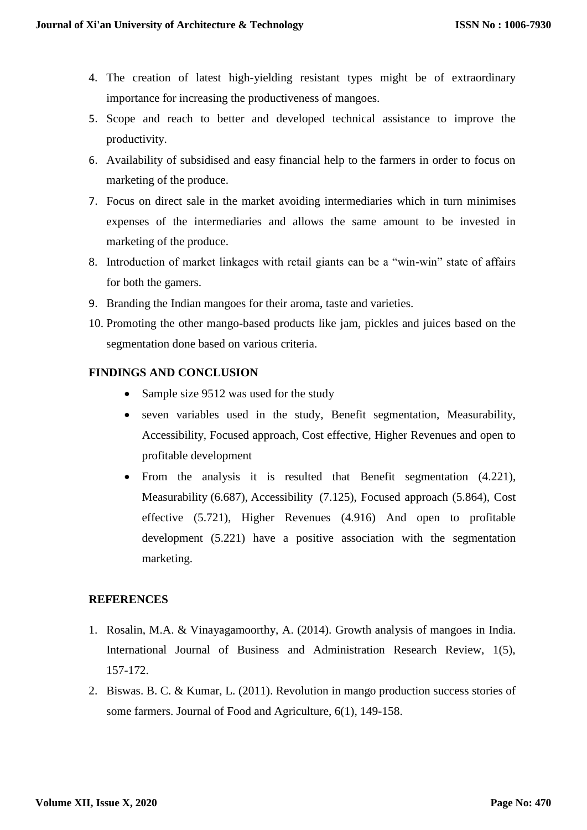- 4. The creation of latest high-yielding resistant types might be of extraordinary importance for increasing the productiveness of mangoes.
- 5. Scope and reach to better and developed technical assistance to improve the productivity.
- 6. Availability of subsidised and easy financial help to the farmers in order to focus on marketing of the produce.
- 7. Focus on direct sale in the market avoiding intermediaries which in turn minimises expenses of the intermediaries and allows the same amount to be invested in marketing of the produce.
- 8. Introduction of market linkages with retail giants can be a "win-win" state of affairs for both the gamers.
- 9. Branding the Indian mangoes for their aroma, taste and varieties.
- 10. Promoting the other mango-based products like jam, pickles and juices based on the segmentation done based on various criteria.

# **FINDINGS AND CONCLUSION**

- Sample size 9512 was used for the study
- seven variables used in the study, Benefit segmentation, Measurability, Accessibility, Focused approach, Cost effective, Higher Revenues and open to profitable development
- From the analysis it is resulted that Benefit segmentation (4.221), Measurability (6.687), Accessibility (7.125), Focused approach (5.864), Cost effective (5.721), Higher Revenues (4.916) And open to profitable development (5.221) have a positive association with the segmentation marketing.

# **REFERENCES**

- 1. Rosalin, M.A. & Vinayagamoorthy, A. (2014). Growth analysis of mangoes in India. International Journal of Business and Administration Research Review, 1(5), 157-172.
- 2. Biswas. B. C. & Kumar, L. (2011). Revolution in mango production success stories of some farmers. Journal of Food and Agriculture, 6(1), 149-158.